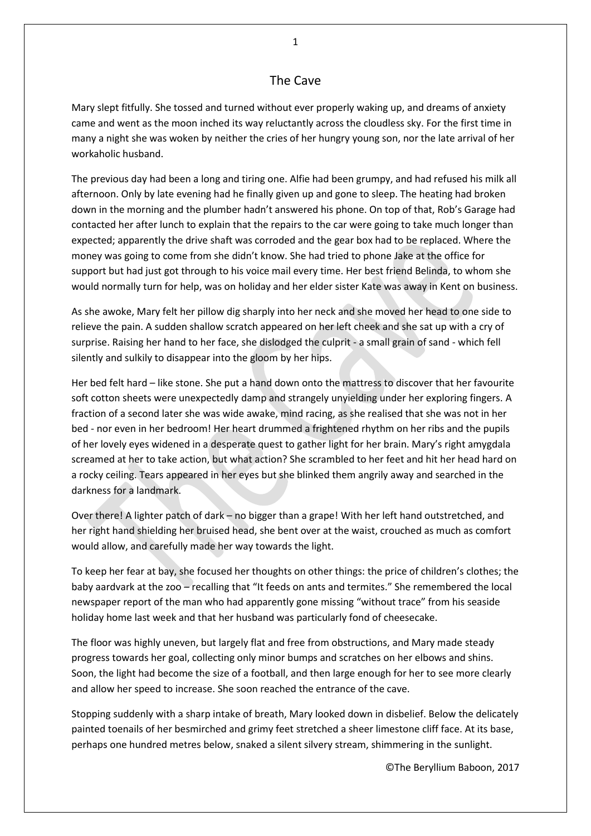## The Cave

Mary slept fitfully. She tossed and turned without ever properly waking up, and dreams of anxiety came and went as the moon inched its way reluctantly across the cloudless sky. For the first time in many a night she was woken by neither the cries of her hungry young son, nor the late arrival of her workaholic husband.

The previous day had been a long and tiring one. Alfie had been grumpy, and had refused his milk all afternoon. Only by late evening had he finally given up and gone to sleep. The heating had broken down in the morning and the plumber hadn't answered his phone. On top of that, Rob's Garage had contacted her after lunch to explain that the repairs to the car were going to take much longer than expected; apparently the drive shaft was corroded and the gear box had to be replaced. Where the money was going to come from she didn't know. She had tried to phone Jake at the office for support but had just got through to his voice mail every time. Her best friend Belinda, to whom she would normally turn for help, was on holiday and her elder sister Kate was away in Kent on business.

As she awoke, Mary felt her pillow dig sharply into her neck and she moved her head to one side to relieve the pain. A sudden shallow scratch appeared on her left cheek and she sat up with a cry of surprise. Raising her hand to her face, she dislodged the culprit - a small grain of sand - which fell silently and sulkily to disappear into the gloom by her hips.

Her bed felt hard – like stone. She put a hand down onto the mattress to discover that her favourite soft cotton sheets were unexpectedly damp and strangely unyielding under her exploring fingers. A fraction of a second later she was wide awake, mind racing, as she realised that she was not in her bed - nor even in her bedroom! Her heart drummed a frightened rhythm on her ribs and the pupils of her lovely eyes widened in a desperate quest to gather light for her brain. Mary's right amygdala screamed at her to take action, but what action? She scrambled to her feet and hit her head hard on a rocky ceiling. Tears appeared in her eyes but she blinked them angrily away and searched in the darkness for a landmark.

Over there! A lighter patch of dark – no bigger than a grape! With her left hand outstretched, and her right hand shielding her bruised head, she bent over at the waist, crouched as much as comfort would allow, and carefully made her way towards the light.

To keep her fear at bay, she focused her thoughts on other things: the price of children's clothes; the baby aardvark at the zoo – recalling that "It feeds on ants and termites." She remembered the local newspaper report of the man who had apparently gone missing "without trace" from his seaside holiday home last week and that her husband was particularly fond of cheesecake.

The floor was highly uneven, but largely flat and free from obstructions, and Mary made steady progress towards her goal, collecting only minor bumps and scratches on her elbows and shins. Soon, the light had become the size of a football, and then large enough for her to see more clearly and allow her speed to increase. She soon reached the entrance of the cave.

Stopping suddenly with a sharp intake of breath, Mary looked down in disbelief. Below the delicately painted toenails of her besmirched and grimy feet stretched a sheer limestone cliff face. At its base, perhaps one hundred metres below, snaked a silent silvery stream, shimmering in the sunlight.

©The Beryllium Baboon, 2017